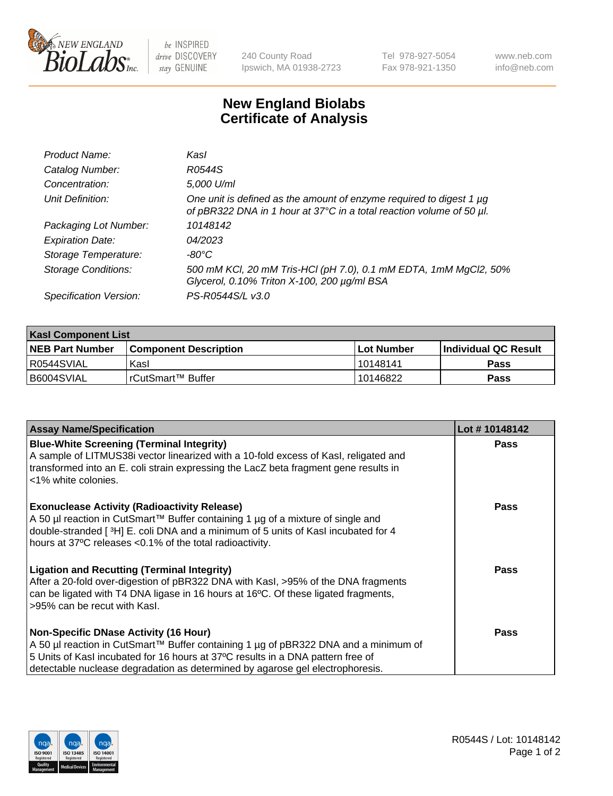

be INSPIRED drive DISCOVERY stay GENUINE

240 County Road Ipswich, MA 01938-2723 Tel 978-927-5054 Fax 978-921-1350 www.neb.com info@neb.com

## **New England Biolabs Certificate of Analysis**

| Product Name:              | Kasl                                                                                                                                        |
|----------------------------|---------------------------------------------------------------------------------------------------------------------------------------------|
| Catalog Number:            | R0544S                                                                                                                                      |
| Concentration:             | 5,000 U/ml                                                                                                                                  |
| Unit Definition:           | One unit is defined as the amount of enzyme required to digest 1 µg<br>of pBR322 DNA in 1 hour at 37°C in a total reaction volume of 50 µl. |
| Packaging Lot Number:      | 10148142                                                                                                                                    |
| <b>Expiration Date:</b>    | 04/2023                                                                                                                                     |
| Storage Temperature:       | -80°C                                                                                                                                       |
| <b>Storage Conditions:</b> | 500 mM KCl, 20 mM Tris-HCl (pH 7.0), 0.1 mM EDTA, 1mM MgCl2, 50%<br>Glycerol, 0.10% Triton X-100, 200 µg/ml BSA                             |
| Specification Version:     | PS-R0544S/L v3.0                                                                                                                            |

| <b>Kasl Component List</b> |                              |                   |                             |  |  |
|----------------------------|------------------------------|-------------------|-----------------------------|--|--|
| <b>NEB Part Number</b>     | <b>Component Description</b> | <b>Lot Number</b> | <b>Individual QC Result</b> |  |  |
| R0544SVIAL                 | Kasl                         | 10148141          | Pass                        |  |  |
| B6004SVIAL                 | l rCutSmart™ Buffer          | 10146822          | Pass                        |  |  |

| <b>Assay Name/Specification</b>                                                                                                                                                                                                                                                                         | Lot #10148142 |
|---------------------------------------------------------------------------------------------------------------------------------------------------------------------------------------------------------------------------------------------------------------------------------------------------------|---------------|
| <b>Blue-White Screening (Terminal Integrity)</b><br>A sample of LITMUS38i vector linearized with a 10-fold excess of Kasl, religated and<br>transformed into an E. coli strain expressing the LacZ beta fragment gene results in<br><1% white colonies.                                                 | <b>Pass</b>   |
| <b>Exonuclease Activity (Radioactivity Release)</b><br>A 50 µl reaction in CutSmart™ Buffer containing 1 µg of a mixture of single and<br>double-stranded [3H] E. coli DNA and a minimum of 5 units of Kasl incubated for 4<br>hours at 37°C releases <0.1% of the total radioactivity.                 | <b>Pass</b>   |
| <b>Ligation and Recutting (Terminal Integrity)</b><br>After a 20-fold over-digestion of pBR322 DNA with Kasl, >95% of the DNA fragments<br>can be ligated with T4 DNA ligase in 16 hours at 16°C. Of these ligated fragments,<br>>95% can be recut with Kasl.                                           | <b>Pass</b>   |
| <b>Non-Specific DNase Activity (16 Hour)</b><br>A 50 µl reaction in CutSmart™ Buffer containing 1 µg of pBR322 DNA and a minimum of<br>5 Units of Kasl incubated for 16 hours at 37°C results in a DNA pattern free of<br>detectable nuclease degradation as determined by agarose gel electrophoresis. | Pass          |